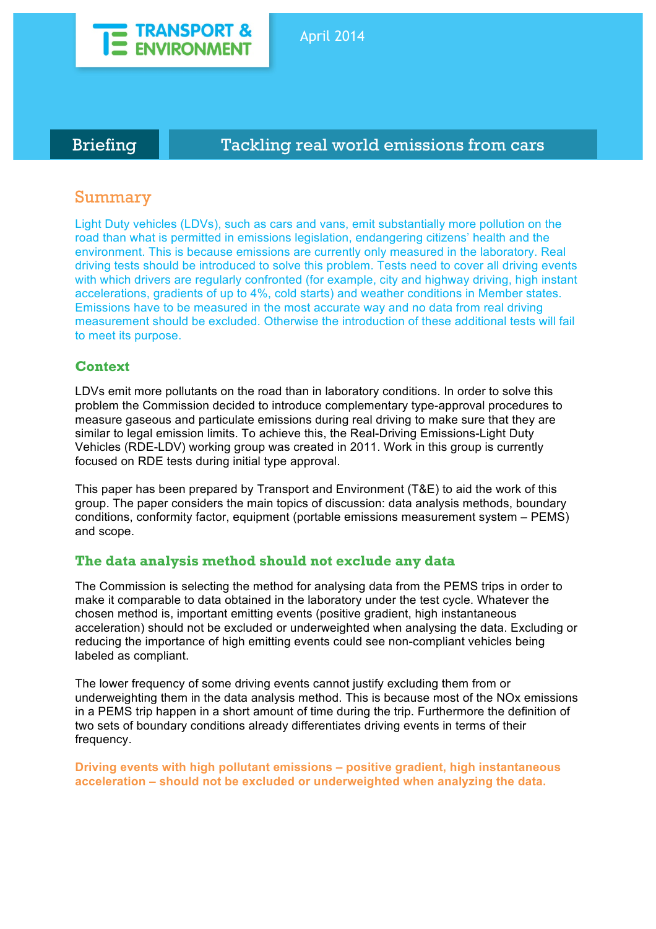

# Briefing **Tackling real world emissions from cars**

# Summary

Light Duty vehicles (LDVs), such as cars and vans, emit substantially more pollution on the road than what is permitted in emissions legislation, endangering citizens' health and the environment. This is because emissions are currently only measured in the laboratory. Real driving tests should be introduced to solve this problem. Tests need to cover all driving events with which drivers are regularly confronted (for example, city and highway driving, high instant accelerations, gradients of up to 4%, cold starts) and weather conditions in Member states. Emissions have to be measured in the most accurate way and no data from real driving measurement should be excluded. Otherwise the introduction of these additional tests will fail to meet its purpose.

## **Context**

LDVs emit more pollutants on the road than in laboratory conditions. In order to solve this problem the Commission decided to introduce complementary type-approval procedures to measure gaseous and particulate emissions during real driving to make sure that they are similar to legal emission limits. To achieve this, the Real-Driving Emissions-Light Duty Vehicles (RDE-LDV) working group was created in 2011. Work in this group is currently focused on RDE tests during initial type approval.

This paper has been prepared by Transport and Environment (T&E) to aid the work of this group. The paper considers the main topics of discussion: data analysis methods, boundary conditions, conformity factor, equipment (portable emissions measurement system – PEMS) and scope.

## **The data analysis method should not exclude any data**

The Commission is selecting the method for analysing data from the PEMS trips in order to make it comparable to data obtained in the laboratory under the test cycle. Whatever the chosen method is, important emitting events (positive gradient, high instantaneous acceleration) should not be excluded or underweighted when analysing the data. Excluding or reducing the importance of high emitting events could see non-compliant vehicles being labeled as compliant.

The lower frequency of some driving events cannot justify excluding them from or underweighting them in the data analysis method. This is because most of the NOx emissions in a PEMS trip happen in a short amount of time during the trip. Furthermore the definition of two sets of boundary conditions already differentiates driving events in terms of their frequency.

**Driving events with high pollutant emissions – positive gradient, high instantaneous acceleration – should not be excluded or underweighted when analyzing the data.**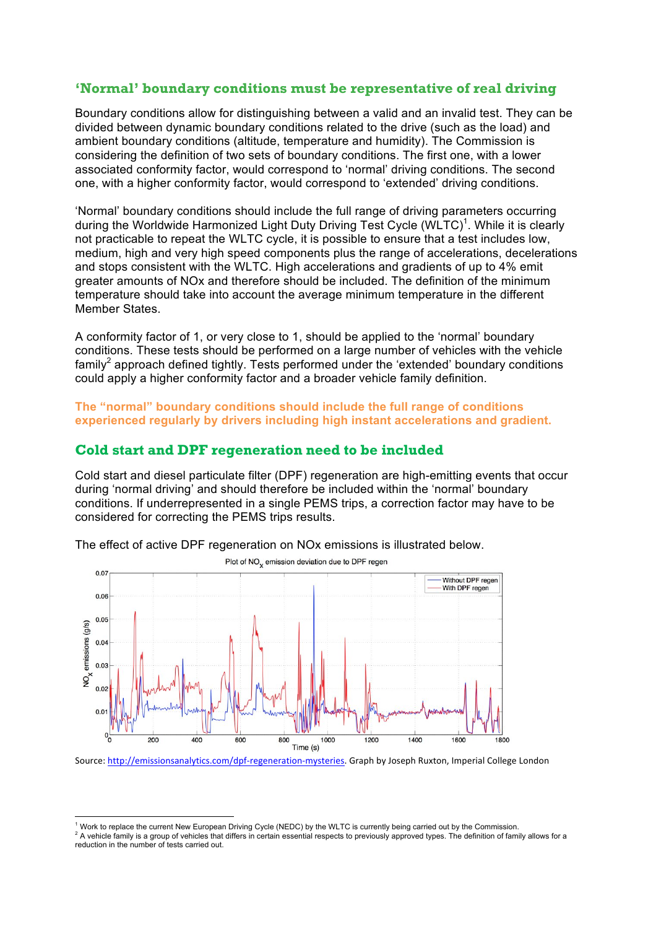## **'Normal' boundary conditions must be representative of real driving**

Boundary conditions allow for distinguishing between a valid and an invalid test. They can be divided between dynamic boundary conditions related to the drive (such as the load) and ambient boundary conditions (altitude, temperature and humidity). The Commission is considering the definition of two sets of boundary conditions. The first one, with a lower associated conformity factor, would correspond to 'normal' driving conditions. The second one, with a higher conformity factor, would correspond to 'extended' driving conditions.

'Normal' boundary conditions should include the full range of driving parameters occurring during the Worldwide Harmonized Light Duty Driving Test Cycle (WLTC)<sup>1</sup>. While it is clearly not practicable to repeat the WLTC cycle, it is possible to ensure that a test includes low, medium, high and very high speed components plus the range of accelerations, decelerations and stops consistent with the WLTC. High accelerations and gradients of up to 4% emit greater amounts of NOx and therefore should be included. The definition of the minimum temperature should take into account the average minimum temperature in the different Member States.

A conformity factor of 1, or very close to 1, should be applied to the 'normal' boundary conditions. These tests should be performed on a large number of vehicles with the vehicle  $f_{\text{amily}}^2$  approach defined tightly. Tests performed under the 'extended' boundary conditions could apply a higher conformity factor and a broader vehicle family definition.

**The "normal" boundary conditions should include the full range of conditions experienced regularly by drivers including high instant accelerations and gradient.**

### **Cold start and DPF regeneration need to be included**

Cold start and diesel particulate filter (DPF) regeneration are high-emitting events that occur during 'normal driving' and should therefore be included within the 'normal' boundary conditions. If underrepresented in a single PEMS trips, a correction factor may have to be considered for correcting the PEMS trips results.



The effect of active DPF regeneration on NOx emissions is illustrated below.

Source: http://emissionsanalytics.com/dpf-regeneration-mysteries. Graph by Joseph Ruxton, Imperial College London

<sup>&</sup>lt;sup>1</sup> Work to replace the current New European Driving Cycle (NEDC) by the WLTC is currently being carried out by the Commission.<br><sup>2</sup> A vehicle family is a group of vehicles that differs in certain essential respects to pre reduction in the number of tests carried out.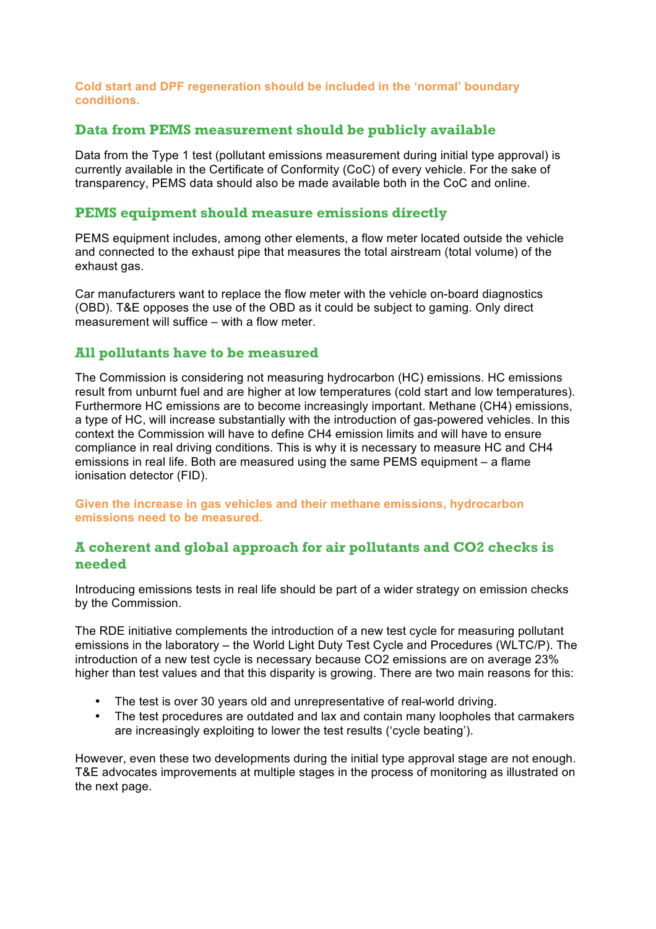### **Cold start and DPF regeneration should be included in the 'normal' boundary conditions.**

## **Data from PEMS measurement should be publicly available**

Data from the Type 1 test (pollutant emissions measurement during initial type approval) is currently available in the Certificate of Conformity (CoC) of every vehicle. For the sake of transparency, PEMS data should also be made available both in the CoC and online.

## **PEMS equipment should measure emissions directly**

PEMS equipment includes, among other elements, a flow meter located outside the vehicle and connected to the exhaust pipe that measures the total airstream (total volume) of the exhaust gas.

Car manufacturers want to replace the flow meter with the vehicle on-board diagnostics (OBD). T&E opposes the use of the OBD as it could be subject to gaming. Only direct measurement will suffice – with a flow meter.

## **All pollutants have to be measured**

The Commission is considering not measuring hydrocarbon (HC) emissions. HC emissions result from unburnt fuel and are higher at low temperatures (cold start and low temperatures). Furthermore HC emissions are to become increasingly important. Methane (CH4) emissions, a type of HC, will increase substantially with the introduction of gas-powered vehicles. In this context the Commission will have to define CH4 emission limits and will have to ensure compliance in real driving conditions. This is why it is necessary to measure HC and CH4 emissions in real life. Both are measured using the same PEMS equipment – a flame ionisation detector (FID).

**Given the increase in gas vehicles and their methane emissions, hydrocarbon emissions need to be measured.**

## **A coherent and global approach for air pollutants and CO2 checks is needed**

Introducing emissions tests in real life should be part of a wider strategy on emission checks by the Commission.

The RDE initiative complements the introduction of a new test cycle for measuring pollutant emissions in the laboratory – the World Light Duty Test Cycle and Procedures (WLTC/P). The introduction of a new test cycle is necessary because CO2 emissions are on average 23% higher than test values and that this disparity is growing. There are two main reasons for this:

- The test is over 30 years old and unrepresentative of real-world driving.
- The test procedures are outdated and lax and contain many loopholes that carmakers are increasingly exploiting to lower the test results ('cycle beating').

However, even these two developments during the initial type approval stage are not enough. T&E advocates improvements at multiple stages in the process of monitoring as illustrated on the next page.